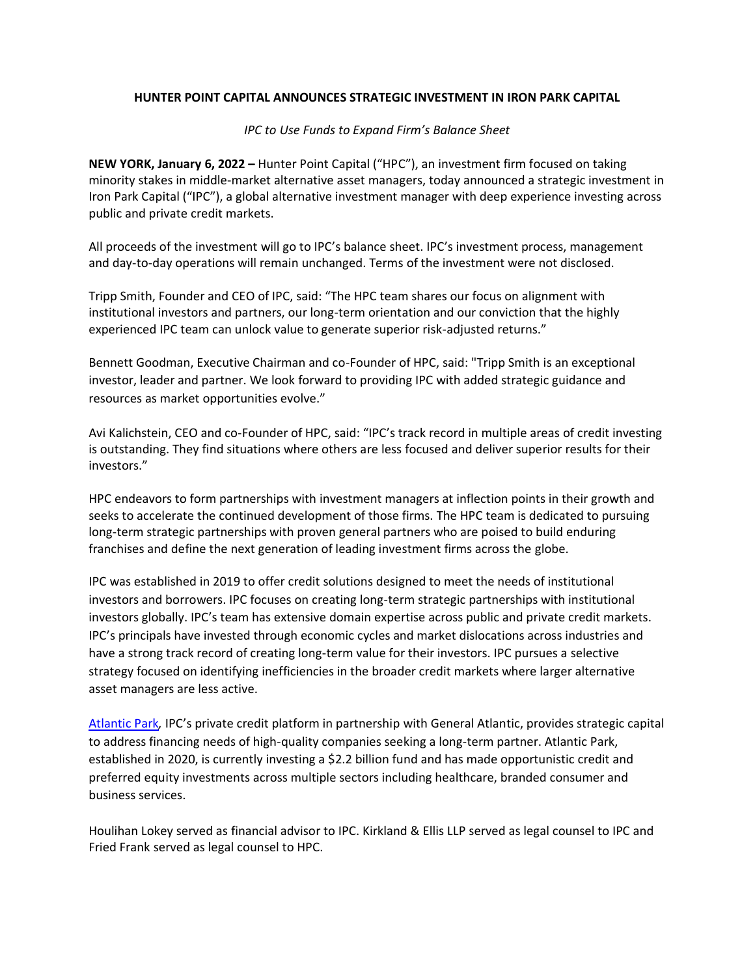## **HUNTER POINT CAPITAL ANNOUNCES STRATEGIC INVESTMENT IN IRON PARK CAPITAL**

## *IPC to Use Funds to Expand Firm's Balance Sheet*

**NEW YORK, January 6, 2022 –** Hunter Point Capital ("HPC"), an investment firm focused on taking minority stakes in middle-market alternative asset managers, today announced a strategic investment in Iron Park Capital ("IPC"), a global alternative investment manager with deep experience investing across public and private credit markets.

All proceeds of the investment will go to IPC's balance sheet. IPC's investment process, management and day-to-day operations will remain unchanged. Terms of the investment were not disclosed.

Tripp Smith, Founder and CEO of IPC, said: "The HPC team shares our focus on alignment with institutional investors and partners, our long-term orientation and our conviction that the highly experienced IPC team can unlock value to generate superior risk-adjusted returns."

Bennett Goodman, Executive Chairman and co-Founder of HPC, said: "Tripp Smith is an exceptional investor, leader and partner. We look forward to providing IPC with added strategic guidance and resources as market opportunities evolve."

Avi Kalichstein, CEO and co-Founder of HPC, said: "IPC's track record in multiple areas of credit investing is outstanding. They find situations where others are less focused and deliver superior results for their investors."

HPC endeavors to form partnerships with investment managers at inflection points in their growth and seeks to accelerate the continued development of those firms. The HPC team is dedicated to pursuing long-term strategic partnerships with proven general partners who are poised to build enduring franchises and define the next generation of leading investment firms across the globe.

IPC was established in 2019 to offer credit solutions designed to meet the needs of institutional investors and borrowers. IPC focuses on creating long-term strategic partnerships with institutional investors globally. IPC's team has extensive domain expertise across public and private credit markets. IPC's principals have invested through economic cycles and market dislocations across industries and have a strong track record of creating long-term value for their investors. IPC pursues a selective strategy focused on identifying inefficiencies in the broader credit markets where larger alternative asset managers are less active.

[Atlantic Park](https://atlanticpark.com/)*,* IPC's private credit platform in partnership with General Atlantic, provides strategic capital to address financing needs of high-quality companies seeking a long-term partner. Atlantic Park, established in 2020, is currently investing a \$2.2 billion fund and has made opportunistic credit and preferred equity investments across multiple sectors including healthcare, branded consumer and business services.

Houlihan Lokey served as financial advisor to IPC. Kirkland & Ellis LLP served as legal counsel to IPC and Fried Frank served as legal counsel to HPC.